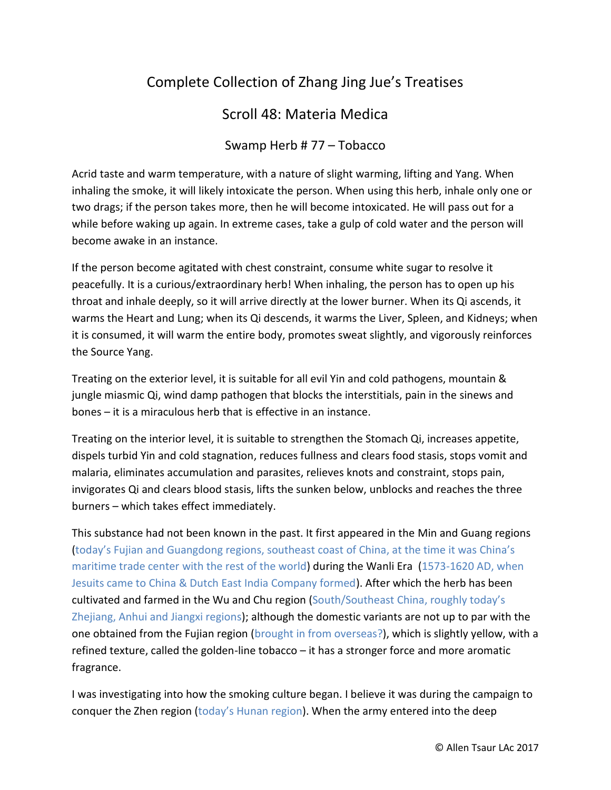## Complete Collection of Zhang Jing Jue's Treatises

## Scroll 48: Materia Medica

## Swamp Herb # 77 – Tobacco

Acrid taste and warm temperature, with a nature of slight warming, lifting and Yang. When inhaling the smoke, it will likely intoxicate the person. When using this herb, inhale only one or two drags; if the person takes more, then he will become intoxicated. He will pass out for a while before waking up again. In extreme cases, take a gulp of cold water and the person will become awake in an instance.

If the person become agitated with chest constraint, consume white sugar to resolve it peacefully. It is a curious/extraordinary herb! When inhaling, the person has to open up his throat and inhale deeply, so it will arrive directly at the lower burner. When its Qi ascends, it warms the Heart and Lung; when its Qi descends, it warms the Liver, Spleen, and Kidneys; when it is consumed, it will warm the entire body, promotes sweat slightly, and vigorously reinforces the Source Yang.

Treating on the exterior level, it is suitable for all evil Yin and cold pathogens, mountain & jungle miasmic Qi, wind damp pathogen that blocks the interstitials, pain in the sinews and bones – it is a miraculous herb that is effective in an instance.

Treating on the interior level, it is suitable to strengthen the Stomach Qi, increases appetite, dispels turbid Yin and cold stagnation, reduces fullness and clears food stasis, stops vomit and malaria, eliminates accumulation and parasites, relieves knots and constraint, stops pain, invigorates Qi and clears blood stasis, lifts the sunken below, unblocks and reaches the three burners – which takes effect immediately.

This substance had not been known in the past. It first appeared in the Min and Guang regions (today's Fujian and Guangdong regions, southeast coast of China, at the time it was China's maritime trade center with the rest of the world) during the Wanli Era (1573-1620 AD, when Jesuits came to China & Dutch East India Company formed). After which the herb has been cultivated and farmed in the Wu and Chu region (South/Southeast China, roughly today's Zhejiang, Anhui and Jiangxi regions); although the domestic variants are not up to par with the one obtained from the Fujian region (brought in from overseas?), which is slightly yellow, with a refined texture, called the golden-line tobacco – it has a stronger force and more aromatic fragrance.

I was investigating into how the smoking culture began. I believe it was during the campaign to conquer the Zhen region (today's Hunan region). When the army entered into the deep